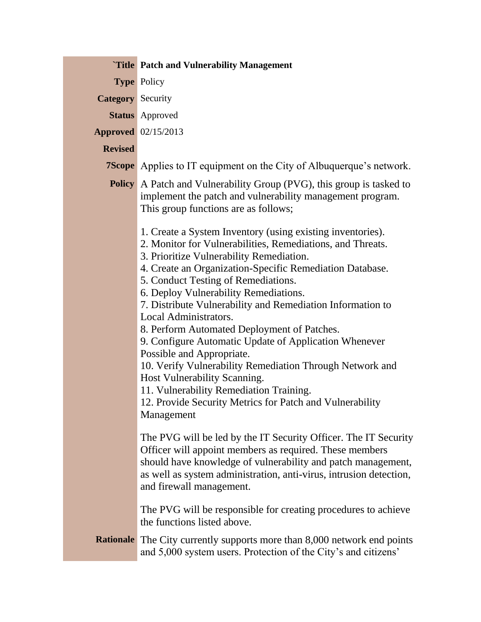|                          | <b>Title Patch and Vulnerability Management</b>                                                                                                                                                                                                                                                                                                                                                                                                                                                                                                                                                                                                                                                                                                               |
|--------------------------|---------------------------------------------------------------------------------------------------------------------------------------------------------------------------------------------------------------------------------------------------------------------------------------------------------------------------------------------------------------------------------------------------------------------------------------------------------------------------------------------------------------------------------------------------------------------------------------------------------------------------------------------------------------------------------------------------------------------------------------------------------------|
|                          | <b>Type Policy</b>                                                                                                                                                                                                                                                                                                                                                                                                                                                                                                                                                                                                                                                                                                                                            |
| <b>Category</b> Security |                                                                                                                                                                                                                                                                                                                                                                                                                                                                                                                                                                                                                                                                                                                                                               |
|                          | <b>Status</b> Approved                                                                                                                                                                                                                                                                                                                                                                                                                                                                                                                                                                                                                                                                                                                                        |
|                          | <b>Approved</b> 02/15/2013                                                                                                                                                                                                                                                                                                                                                                                                                                                                                                                                                                                                                                                                                                                                    |
| <b>Revised</b>           |                                                                                                                                                                                                                                                                                                                                                                                                                                                                                                                                                                                                                                                                                                                                                               |
|                          | <b>7Scope</b> Applies to IT equipment on the City of Albuquerque's network.                                                                                                                                                                                                                                                                                                                                                                                                                                                                                                                                                                                                                                                                                   |
|                          | <b>Policy</b> A Patch and Vulnerability Group (PVG), this group is tasked to<br>implement the patch and vulnerability management program.<br>This group functions are as follows;                                                                                                                                                                                                                                                                                                                                                                                                                                                                                                                                                                             |
|                          | 1. Create a System Inventory (using existing inventories).<br>2. Monitor for Vulnerabilities, Remediations, and Threats.<br>3. Prioritize Vulnerability Remediation.<br>4. Create an Organization-Specific Remediation Database.<br>5. Conduct Testing of Remediations.<br>6. Deploy Vulnerability Remediations.<br>7. Distribute Vulnerability and Remediation Information to<br>Local Administrators.<br>8. Perform Automated Deployment of Patches.<br>9. Configure Automatic Update of Application Whenever<br>Possible and Appropriate.<br>10. Verify Vulnerability Remediation Through Network and<br>Host Vulnerability Scanning.<br>11. Vulnerability Remediation Training.<br>12. Provide Security Metrics for Patch and Vulnerability<br>Management |
|                          | The PVG will be led by the IT Security Officer. The IT Security<br>Officer will appoint members as required. These members<br>should have knowledge of vulnerability and patch management,<br>as well as system administration, anti-virus, intrusion detection,<br>and firewall management.                                                                                                                                                                                                                                                                                                                                                                                                                                                                  |
|                          | The PVG will be responsible for creating procedures to achieve<br>the functions listed above.                                                                                                                                                                                                                                                                                                                                                                                                                                                                                                                                                                                                                                                                 |
|                          | <b>Rationale</b> The City currently supports more than 8,000 network end points<br>and 5,000 system users. Protection of the City's and citizens'                                                                                                                                                                                                                                                                                                                                                                                                                                                                                                                                                                                                             |